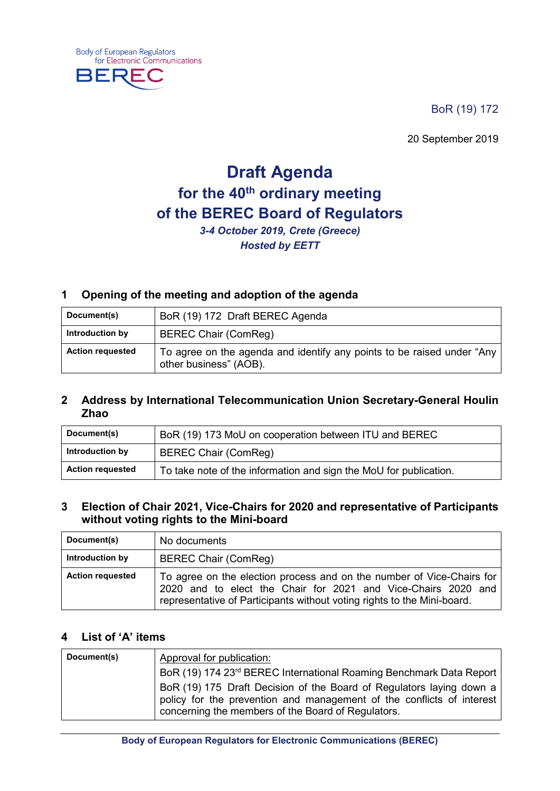BoR (19) 172

20 September 2019

# **Draft Agenda for the 40th ordinary meeting of the BEREC Board of Regulators**

*3-4 October 2019, Crete (Greece) Hosted by EETT* 

#### **1 Opening of the meeting and adoption of the agenda**

| Document(s)             | BoR (19) 172 Draft BEREC Agenda                                                                  |
|-------------------------|--------------------------------------------------------------------------------------------------|
| Introduction by         | <b>BEREC Chair (ComReg)</b>                                                                      |
| <b>Action requested</b> | To agree on the agenda and identify any points to be raised under "Any<br>other business" (AOB). |

#### **2 Address by International Telecommunication Union Secretary-General Houlin Zhao**

| Document(s)             | BoR (19) 173 MoU on cooperation between ITU and BEREC             |
|-------------------------|-------------------------------------------------------------------|
| Introduction by         | <b>BEREC Chair (ComReg)</b>                                       |
| <b>Action requested</b> | To take note of the information and sign the MoU for publication. |

#### **3 Election of Chair 2021, Vice-Chairs for 2020 and representative of Participants without voting rights to the Mini-board**

| Document(s)             | No documents                                                                                                                                                                                                      |
|-------------------------|-------------------------------------------------------------------------------------------------------------------------------------------------------------------------------------------------------------------|
| Introduction by         | <b>BEREC Chair (ComReg)</b>                                                                                                                                                                                       |
| <b>Action requested</b> | To agree on the election process and on the number of Vice-Chairs for<br>2020 and to elect the Chair for 2021 and Vice-Chairs 2020 and<br>representative of Participants without voting rights to the Mini-board. |

#### **4 List of 'A' items**

**Body of European Regulators** 

BERF

for Electronic Communications

۰

| Document(s) | Approval for publication:                                                                                                                                                                           |
|-------------|-----------------------------------------------------------------------------------------------------------------------------------------------------------------------------------------------------|
|             | BoR (19) 174 23rd BEREC International Roaming Benchmark Data Report                                                                                                                                 |
|             | BoR (19) 175 Draft Decision of the Board of Regulators laying down a<br>policy for the prevention and management of the conflicts of interest<br>concerning the members of the Board of Regulators. |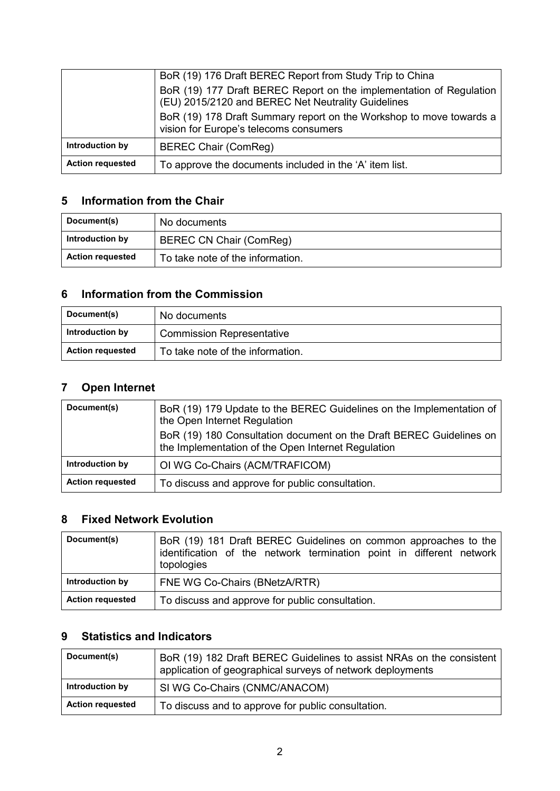|                         | BoR (19) 176 Draft BEREC Report from Study Trip to China                                                                  |
|-------------------------|---------------------------------------------------------------------------------------------------------------------------|
|                         | BoR (19) 177 Draft BEREC Report on the implementation of Regulation<br>(EU) 2015/2120 and BEREC Net Neutrality Guidelines |
|                         | BoR (19) 178 Draft Summary report on the Workshop to move towards a<br>vision for Europe's telecoms consumers             |
| Introduction by         | <b>BEREC Chair (ComReg)</b>                                                                                               |
| <b>Action requested</b> | To approve the documents included in the 'A' item list.                                                                   |

# **5 Information from the Chair**

| Document(s)             | No documents                     |
|-------------------------|----------------------------------|
| Introduction by         | <b>BEREC CN Chair (ComReg)</b>   |
| <b>Action requested</b> | To take note of the information. |

## **6 Information from the Commission**

| Document(s)             | No documents                     |
|-------------------------|----------------------------------|
| Introduction by         | <b>Commission Representative</b> |
| <b>Action requested</b> | To take note of the information. |

# **7 Open Internet**

| Document(s)             | BoR (19) 179 Update to the BEREC Guidelines on the Implementation of<br>the Open Internet Regulation                      |
|-------------------------|---------------------------------------------------------------------------------------------------------------------------|
|                         | BoR (19) 180 Consultation document on the Draft BEREC Guidelines on<br>the Implementation of the Open Internet Regulation |
| Introduction by         | OI WG Co-Chairs (ACM/TRAFICOM)                                                                                            |
| <b>Action requested</b> | To discuss and approve for public consultation.                                                                           |

### **8 Fixed Network Evolution**

| Document(s)             | BoR (19) 181 Draft BEREC Guidelines on common approaches to the<br>identification of the network termination point in different network<br>topologies |
|-------------------------|-------------------------------------------------------------------------------------------------------------------------------------------------------|
| Introduction by         | FNE WG Co-Chairs (BNetzA/RTR)                                                                                                                         |
| <b>Action requested</b> | To discuss and approve for public consultation.                                                                                                       |

# **9 Statistics and Indicators**

| Document(s)             | BoR (19) 182 Draft BEREC Guidelines to assist NRAs on the consistent<br>application of geographical surveys of network deployments |
|-------------------------|------------------------------------------------------------------------------------------------------------------------------------|
| Introduction by         | SI WG Co-Chairs (CNMC/ANACOM)                                                                                                      |
| <b>Action requested</b> | To discuss and to approve for public consultation.                                                                                 |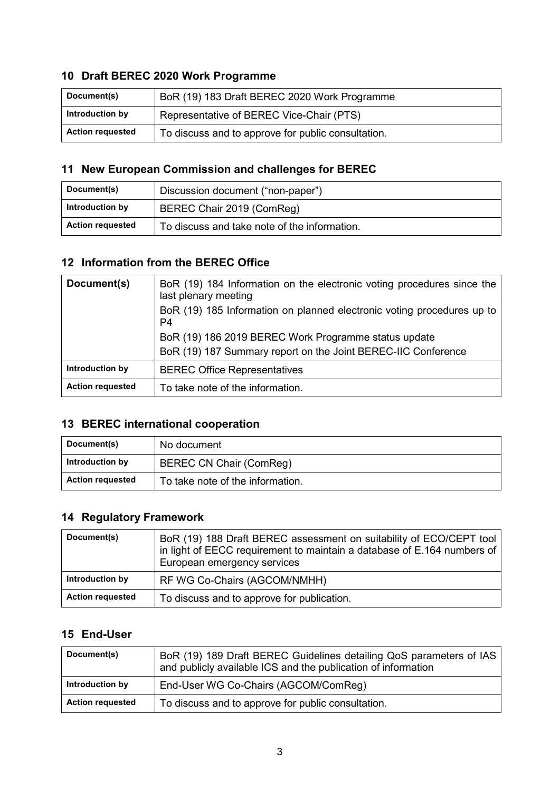# **10 Draft BEREC 2020 Work Programme**

| Document(s)             | BoR (19) 183 Draft BEREC 2020 Work Programme       |
|-------------------------|----------------------------------------------------|
| Introduction by         | Representative of BEREC Vice-Chair (PTS)           |
| <b>Action requested</b> | To discuss and to approve for public consultation. |

# **11 New European Commission and challenges for BEREC**

| Document(s)             | Discussion document ("non-paper")            |
|-------------------------|----------------------------------------------|
| Introduction by         | BEREC Chair 2019 (ComReg)                    |
| <b>Action requested</b> | To discuss and take note of the information. |

#### **12 Information from the BEREC Office**

| Document(s)             | BoR (19) 184 Information on the electronic voting procedures since the<br>last plenary meeting<br>BoR (19) 185 Information on planned electronic voting procedures up to<br>P4 |
|-------------------------|--------------------------------------------------------------------------------------------------------------------------------------------------------------------------------|
|                         | BoR (19) 186 2019 BEREC Work Programme status update<br>BoR (19) 187 Summary report on the Joint BEREC-IIC Conference                                                          |
| Introduction by         | <b>BEREC Office Representatives</b>                                                                                                                                            |
| <b>Action requested</b> | To take note of the information.                                                                                                                                               |

# **13 BEREC international cooperation**

| Document(s)             | No document                      |
|-------------------------|----------------------------------|
| Introduction by         | BEREC CN Chair (ComReg)          |
| <b>Action requested</b> | To take note of the information. |

# **14 Regulatory Framework**

| Document(s)             | BoR (19) 188 Draft BEREC assessment on suitability of ECO/CEPT tool<br>in light of EECC requirement to maintain a database of E.164 numbers of<br>European emergency services |
|-------------------------|-------------------------------------------------------------------------------------------------------------------------------------------------------------------------------|
| Introduction by         | RF WG Co-Chairs (AGCOM/NMHH)                                                                                                                                                  |
| <b>Action requested</b> | To discuss and to approve for publication.                                                                                                                                    |

## **15 End-User**

| Document(s)             | BoR (19) 189 Draft BEREC Guidelines detailing QoS parameters of IAS<br>and publicly available ICS and the publication of information |
|-------------------------|--------------------------------------------------------------------------------------------------------------------------------------|
| Introduction by         | End-User WG Co-Chairs (AGCOM/ComReg)                                                                                                 |
| <b>Action requested</b> | To discuss and to approve for public consultation.                                                                                   |